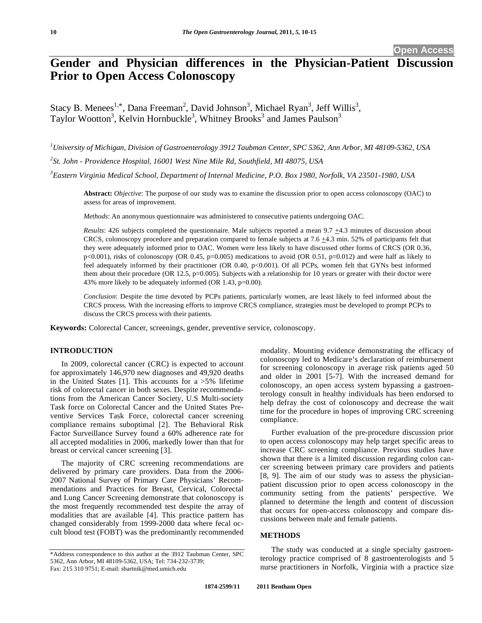# **Gender and Physician differences in the Physician-Patient Discussion Prior to Open Access Colonoscopy**

Stacy B. Menees<sup>1,\*</sup>, Dana Freeman<sup>2</sup>, David Johnson<sup>3</sup>, Michael Ryan<sup>3</sup>, Jeff Willis<sup>3</sup>, Taylor Wootton<sup>3</sup>, Kelvin Hornbuckle<sup>3</sup>, Whitney Brooks<sup>3</sup> and James Paulson<sup>3</sup>

*1 University of Michigan, Division of Gastroenterology 3912 Taubman Center, SPC 5362, Ann Arbor, MI 48109-5362, USA 2 St. John - Providence Hospital, 16001 West Nine Mile Rd, Southfield, MI 48075, USA* 

*3 Eastern Virginia Medical School, Department of Internal Medicine, P.O. Box 1980, Norfolk, VA 23501-1980, USA* 

**Abstract:** *Objective*: The purpose of our study was to examine the discussion prior to open access colonoscopy (OAC) to assess for areas of improvement.

*Methods*: An anonymous questionnaire was administered to consecutive patients undergoing OAC.

*Results*: 426 subjects completed the questionnaire. Male subjects reported a mean 9.7  $\pm$ 4.3 minutes of discussion about CRCS, colonoscopy procedure and preparation compared to female subjects at 7.6 +4.3 min. 52% of participants felt that they were adequately informed prior to OAC. Women were less likely to have discussed other forms of CRCS (OR 0.36, p<0.001), risks of colonoscopy (OR 0.45, p=0.005) medications to avoid (OR 0.51, p=0.012) and were half as likely to feel adequately informed by their practitioner (OR 0.40, p<0.001). Of all PCPs, women felt that GYNs best informed them about their procedure (OR 12.5,  $p=0.005$ ). Subjects with a relationship for 10 years or greater with their doctor were 43% more likely to be adequately informed (OR 1.43, p=0.00).

*Conclusion*: Despite the time devoted by PCPs patients, particularly women, are least likely to feel informed about the CRCS process. With the increasing efforts to improve CRCS compliance, strategies must be developed to prompt PCPs to discuss the CRCS process with their patients.

**Keywords:** Colorectal Cancer, screenings, gender, preventive service, colonoscopy.

## **INTRODUCTION**

 In 2009, colorectal cancer (CRC) is expected to account for approximately 146,970 new diagnoses and 49,920 deaths in the United States [1]. This accounts for a  $>5\%$  lifetime risk of colorectal cancer in both sexes. Despite recommendations from the American Cancer Society, U.S Multi-society Task force on Colorectal Cancer and the United States Preventive Services Task Force, colorectal cancer screening compliance remains suboptimal [2]. The Behavioral Risk Factor Surveillance Survey found a 60% adherence rate for all accepted modalities in 2006, markedly lower than that for breast or cervical cancer screening [3].

 The majority of CRC screening recommendations are delivered by primary care providers. Data from the 2006- 2007 National Survey of Primary Care Physicians' Recommendations and Practices for Breast, Cervical, Colorectal and Lung Cancer Screening demonstrate that colonoscopy is the most frequently recommended test despite the array of modalities that are available [4]. This practice pattern has changed considerably from 1999-2000 data where fecal occult blood test (FOBT) was the predominantly recommended

modality. Mounting evidence demonstrating the efficacy of colonoscopy led to Medicare's declaration of reimbursement for screening colonoscopy in average risk patients aged 50 and older in 2001 [5-7]. With the increased demand for colonoscopy, an open access system bypassing a gastroenterology consult in healthy individuals has been endorsed to help defray the cost of colonoscopy and decrease the wait time for the procedure in hopes of improving CRC screening compliance.

 Further evaluation of the pre-procedure discussion prior to open access colonoscopy may help target specific areas to increase CRC screening compliance. Previous studies have shown that there is a limited discussion regarding colon cancer screening between primary care providers and patients [8, 9]. The aim of our study was to assess the physicianpatient discussion prior to open access colonoscopy in the community setting from the patients' perspective. We planned to determine the length and content of discussion that occurs for open-access colonoscopy and compare discussions between male and female patients.

## **METHODS**

 The study was conducted at a single specialty gastroenterology practice comprised of 8 gastroenterologists and 5 nurse practitioners in Norfolk, Virginia with a practice size

<sup>\*</sup>Address correspondence to this author at the 3912 Taubman Center, SPC 5362, Ann Arbor, MI 48109-5362, USA; Tel: 734-232-3739; Fax: 215 310 9751; E-mail: sbartnik@med.umich.edu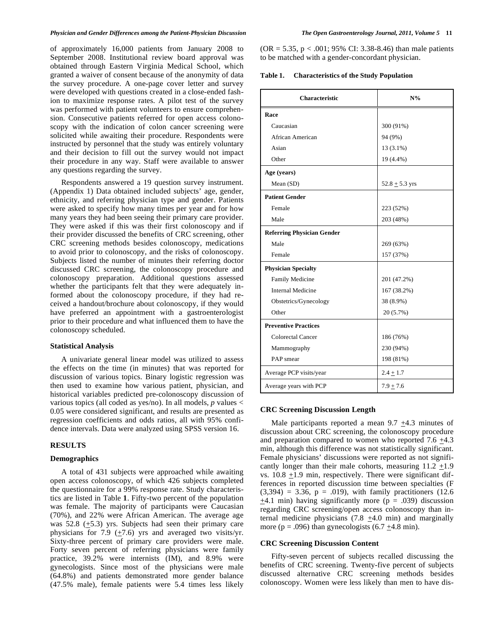of approximately 16,000 patients from January 2008 to September 2008. Institutional review board approval was obtained through Eastern Virginia Medical School, which granted a waiver of consent because of the anonymity of data the survey procedure. A one-page cover letter and survey were developed with questions created in a close-ended fashion to maximize response rates. A pilot test of the survey was performed with patient volunteers to ensure comprehension. Consecutive patients referred for open access colonoscopy with the indication of colon cancer screening were solicited while awaiting their procedure. Respondents were instructed by personnel that the study was entirely voluntary and their decision to fill out the survey would not impact their procedure in any way. Staff were available to answer any questions regarding the survey.

 Respondents answered a 19 question survey instrument. (Appendix 1) Data obtained included subjects' age, gender, ethnicity, and referring physician type and gender. Patients were asked to specify how many times per year and for how many years they had been seeing their primary care provider. They were asked if this was their first colonoscopy and if their provider discussed the benefits of CRC screening, other CRC screening methods besides colonoscopy, medications to avoid prior to colonoscopy, and the risks of colonoscopy. Subjects listed the number of minutes their referring doctor discussed CRC screening, the colonoscopy procedure and colonoscopy preparation. Additional questions assessed whether the participants felt that they were adequately informed about the colonoscopy procedure, if they had received a handout/brochure about colonoscopy, if they would have preferred an appointment with a gastroenterologist prior to their procedure and what influenced them to have the colonoscopy scheduled.

#### **Statistical Analysis**

 A univariate general linear model was utilized to assess the effects on the time (in minutes) that was reported for discussion of various topics. Binary logistic regression was then used to examine how various patient, physician, and historical variables predicted pre-colonoscopy discussion of various topics (all coded as yes/no). In all models, *p* values < 0.05 were considered significant, and results are presented as regression coefficients and odds ratios, all with 95% confidence intervals. Data were analyzed using SPSS version 16.

## **RESULTS**

#### **Demographics**

 A total of 431 subjects were approached while awaiting open access colonoscopy, of which 426 subjects completed the questionnaire for a 99% response rate. Study characteristics are listed in Table **1**. Fifty-two percent of the population was female. The majority of participants were Caucasian (70%), and 22% were African American. The average age was 52.8  $(\pm 5.3)$  yrs. Subjects had seen their primary care physicians for 7.9  $(+7.6)$  yrs and averaged two visits/yr. Sixty-three percent of primary care providers were male. Forty seven percent of referring physicians were family practice, 39.2% were internists (IM), and 8.9% were gynecologists. Since most of the physicians were male (64.8%) and patients demonstrated more gender balance (47.5% male), female patients were 5.4 times less likely  $(OR = 5.35, p < .001; 95\% \text{ CI: } 3.38-8.46)$  than male patients to be matched with a gender-concordant physician.

| Table 1. | <b>Characteristics of the Study Population</b> |  |
|----------|------------------------------------------------|--|
|----------|------------------------------------------------|--|

| <b>Characteristic</b>             | $N\%$              |
|-----------------------------------|--------------------|
| Race                              |                    |
| Caucasian                         | 300 (91%)          |
| African American                  | 94 (9%)            |
| Asian                             | $13(3.1\%)$        |
| Other                             | 19 (4.4%)          |
| Age (years)                       |                    |
| Mean (SD)                         | 52.8 $\pm$ 5.3 yrs |
| <b>Patient Gender</b>             |                    |
| Female                            | 223 (52%)          |
| Male                              | 203 (48%)          |
| <b>Referring Physician Gender</b> |                    |
| Male                              | 269 (63%)          |
| Female                            | 157 (37%)          |
| <b>Physician Specialty</b>        |                    |
| <b>Family Medicine</b>            | 201 (47.2%)        |
| Internal Medicine                 | 167 (38.2%)        |
| Obstetrics/Gynecology             | 38 (8.9%)          |
| Other                             | 20 (5.7%)          |
| <b>Preventive Practices</b>       |                    |
| <b>Colorectal Cancer</b>          | 186 (76%)          |
| Mammography                       | 230 (94%)          |
| PAP smear                         | 198 (81%)          |
| Average PCP visits/year           | $2.4 + 1.7$        |
| Average years with PCP            | $7.9 \pm 7.6$      |

### **CRC Screening Discussion Length**

Male participants reported a mean  $9.7 \pm 4.3$  minutes of discussion about CRC screening, the colonoscopy procedure and preparation compared to women who reported  $7.6 \pm 4.3$ min, although this difference was not statistically significant. Female physicians' discussions were reported as not significantly longer than their male cohorts, measuring  $11.2 \pm 1.9$ vs.  $10.8 \pm 1.9$  min, respectively. There were significant differences in reported discussion time between specialties (F  $(3,394) = 3.36$ ,  $p = .019$ ), with family practitioners  $(12.6)$  $+4.1$  min) having significantly more ( $p = .039$ ) discussion regarding CRC screening/open access colonoscopy than internal medicine physicians  $(7.8 \pm 4.0 \text{ min})$  and marginally more ( $p = .096$ ) than gynecologists (6.7  $\pm$ 4.8 min).

#### **CRC Screening Discussion Content**

 Fifty-seven percent of subjects recalled discussing the benefits of CRC screening. Twenty-five percent of subjects discussed alternative CRC screening methods besides colonoscopy. Women were less likely than men to have dis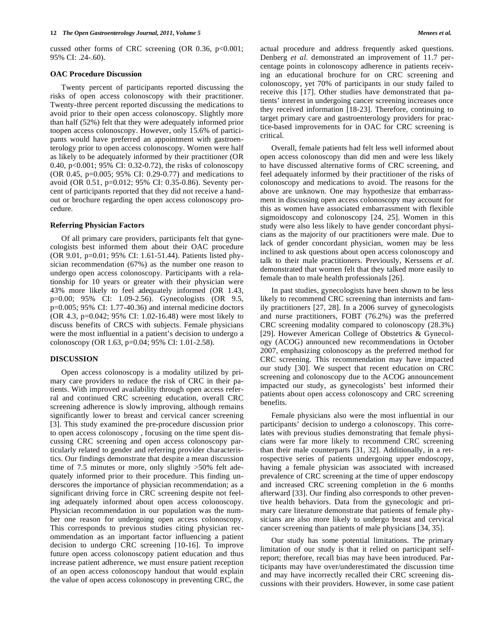cussed other forms of CRC screening  $(OR\ 0.36, p<0.001;$ 95% CI: .24-.60).

#### **OAC Procedure Discussion**

 Twenty percent of participants reported discussing the risks of open access colonoscopy with their practitioner. Twenty-three percent reported discussing the medications to avoid prior to their open access colonoscopy. Slightly more than half (52%) felt that they were adequately informed prior toopen access colonoscopy. However, only 15.6% of participants would have preferred an appointment with gastroenterology prior to open access colonoscopy. Women were half as likely to be adequately informed by their practitioner (OR 0.40, p<0.001; 95% CI: 0.32-0.72), the risks of colonoscopy (OR 0.45, p=0.005; 95% CI: 0.29-0.77) and medications to avoid (OR 0.51, p=0.012; 95% CI: 0.35-0.86). Seventy percent of participants reported that they did not receive a handout or brochure regarding the open access colonoscopy procedure.

### **Referring Physician Factors**

 Of all primary care providers, participants felt that gynecologists best informed them about their OAC procedure (OR 9.01, p=0.01; 95% CI: 1.61-51.44). Patients listed physician recommendation (67%) as the number one reason to undergo open access colonoscopy. Participants with a relationship for 10 years or greater with their physician were 43% more likely to feel adequately informed (OR 1.43, p=0.00; 95% CI: 1.09-2.56). Gynecologists (OR 9.5, p=0.005; 95% CI: 1.77-40.36) and internal medicine doctors (OR 4.3, p=0.042; 95% CI: 1.02-16.48) were most likely to discuss benefits of CRCS with subjects. Female physicians were the most influential in a patient's decision to undergo a colonoscopy (OR 1.63, p=0.04; 95% CI: 1.01-2.58).

#### **DISCUSSION**

 Open access colonoscopy is a modality utilized by primary care providers to reduce the risk of CRC in their patients. With improved availability through open access referral and continued CRC screening education, overall CRC screening adherence is slowly improving, although remains significantly lower to breast and cervical cancer screening [3]. This study examined the pre-procedure discussion prior to open access colonoscopy , focusing on the time spent discussing CRC screening and open access colonoscopy particularly related to gender and referring provider characteristics. Our findings demonstrate that despite a mean discussion time of 7.5 minutes or more, only slightly >50% felt adequately informed prior to their procedure. This finding underscores the importance of physician recommendation; as a significant driving force in CRC screening despite not feeling adequately informed about open access colonoscopy. Physician recommendation in our population was the number one reason for undergoing open access colonoscopy. This corresponds to previous studies citing physician recommendation as an important factor influencing a patient decision to undergo CRC screening [10-16]. To improve future open access colonoscopy patient education and thus increase patient adherence, we must ensure patient reception of an open access colonoscopy handout that would explain the value of open access colonoscopy in preventing CRC, the actual procedure and address frequently asked questions. Denberg *et al*. demonstrated an improvement of 11.7 percentage points in colonoscopy adherence in patients receiving an educational brochure for on CRC screening and colonoscopy, yet 70% of participants in our study failed to receive this [17]. Other studies have demonstrated that patients' interest in undergoing cancer screening increases once they received information [18-23]. Therefore, continuing to target primary care and gastroenterology providers for practice-based improvements for in OAC for CRC screening is critical.

 Overall, female patients had felt less well informed about open access colonoscopy than did men and were less likely to have discussed alternative forms of CRC screening, and feel adequately informed by their practitioner of the risks of colonoscopy and medications to avoid. The reasons for the above are unknown. One may hypothesize that embarrassment in discussing open access colonoscopy may account for this as women have associated embarrassment with flexible sigmoidoscopy and colonoscopy [24, 25]. Women in this study were also less likely to have gender concordant physicians as the majority of our practitioners were male. Due to lack of gender concordant physician, women may be less inclined to ask questions about open access colonoscopy and talk to their male practitioners. Previously, Kerssens *et al*. demonstrated that women felt that they talked more easily to female than to male health professionals [26].

 In past studies, gynecologists have been shown to be less likely to recommend CRC screening than internists and family practitioners [27, 28]. In a 2006 survey of gynecologists and nurse practitioners, FOBT (76.2%) was the preferred CRC screening modality compared to colonoscopy (28.3%) [29]. However American College of Obstetrics & Gynecology (ACOG) announced new recommendations in October 2007, emphasizing colonoscopy as the preferred method for CRC screening. This recommendation may have impacted our study [30]. We suspect that recent education on CRC screening and colonoscopy due to the ACOG announcement impacted our study, as gynecologists' best informed their patients about open access colonoscopy and CRC screening benefits.

 Female physicians also were the most influential in our participants' decision to undergo a colonoscopy. This correlates with previous studies demonstrating that female physicians were far more likely to recommend CRC screening than their male counterparts [31, 32]. Additionally, in a retrospective series of patients undergoing upper endoscopy, having a female physician was associated with increased prevalence of CRC screening at the time of upper endoscopy and increased CRC screening completion in the 6 months afterward [33]. Our finding also corresponds to other preventive health behaviors. Data from the gynecologic and primary care literature demonstrate that patients of female physicians are also more likely to undergo breast and cervical cancer screening than patients of male physicians [34, 35].

 Our study has some potential limitations. The primary limitation of our study is that it relied on participant selfreport; therefore, recall bias may have been introduced. Participants may have over/underestimated the discussion time and may have incorrectly recalled their CRC screening discussions with their providers. However, in some case patient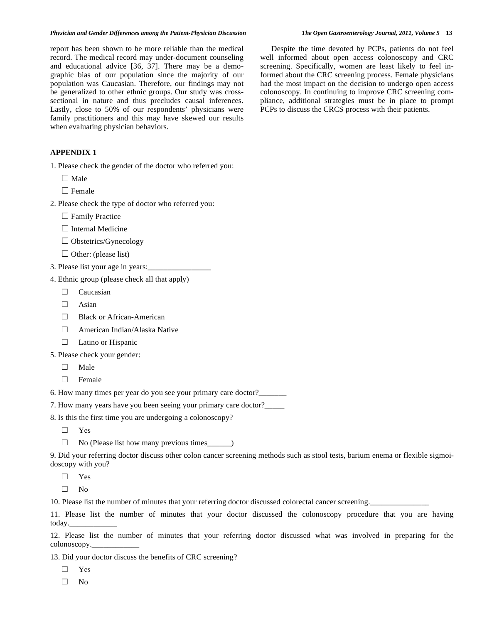report has been shown to be more reliable than the medical record. The medical record may under-document counseling and educational advice [36, 37]. There may be a demographic bias of our population since the majority of our population was Caucasian. Therefore, our findings may not be generalized to other ethnic groups. Our study was crosssectional in nature and thus precludes causal inferences. Lastly, close to 50% of our respondents' physicians were family practitioners and this may have skewed our results when evaluating physician behaviors.

# **APPENDIX 1**

- 1. Please check the gender of the doctor who referred you:
	- $\Box$  Male
	- $\Box$  Female
- 2. Please check the type of doctor who referred you:
	- $\Box$  Family Practice
	- $\Box$  Internal Medicine
	- □ Obstetrics/Gynecology
	- $\Box$  Other: (please list)
- 3. Please list your age in years:\_\_\_\_\_\_\_\_\_\_\_\_\_\_\_\_
- 4. Ethnic group (please check all that apply)
	- $\Box$  Caucasian
	- $\Box$  Asian
	- □ Black or African-American
	- American Indian/Alaska Native
	- $\Box$  Latino or Hispanic
- 5. Please check your gender:
	- $\Box$  Male
	- $\Box$  Female
- 6. How many times per year do you see your primary care doctor?\_\_\_\_\_\_\_
- 7. How many years have you been seeing your primary care doctor?\_\_\_\_\_
- 8. Is this the first time you are undergoing a colonoscopy?
	- $\Box$  Yes
	- $\Box$  No (Please list how many previous times\_\_\_\_\_)

9. Did your referring doctor discuss other colon cancer screening methods such as stool tests, barium enema or flexible sigmoidoscopy with you?

- $\square$  Yes
- $\square$  No

10. Please list the number of minutes that your referring doctor discussed colorectal cancer screening.

11. Please list the number of minutes that your doctor discussed the colonoscopy procedure that you are having today.

12. Please list the number of minutes that your referring doctor discussed what was involved in preparing for the colonoscopy.\_\_\_\_\_\_\_\_\_\_\_\_

13. Did your doctor discuss the benefits of CRC screening?

 $\Box$  Yes

 $\Box$  No

 Despite the time devoted by PCPs, patients do not feel well informed about open access colonoscopy and CRC screening. Specifically, women are least likely to feel informed about the CRC screening process. Female physicians had the most impact on the decision to undergo open access colonoscopy. In continuing to improve CRC screening compliance, additional strategies must be in place to prompt PCPs to discuss the CRCS process with their patients.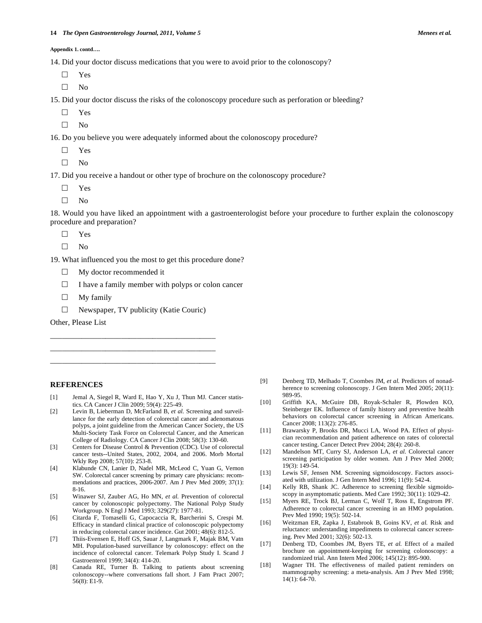**Appendix 1. contd….** 

14. Did your doctor discuss medications that you were to avoid prior to the colonoscopy?

 Yes  $\square$  No

15. Did your doctor discuss the risks of the colonoscopy procedure such as perforation or bleeding?

- Yes
- 
- $\square$  No

16. Do you believe you were adequately informed about the colonoscopy procedure?

- Yes
- $\Box$  No

17. Did you receive a handout or other type of brochure on the colonoscopy procedure?

- Yes
- $\square$  No

18. Would you have liked an appointment with a gastroenterologist before your procedure to further explain the colonoscopy procedure and preparation?

Yes

 $\square$  No

19. What influenced you the most to get this procedure done?

- $\Box$  My doctor recommended it
- $\Box$  I have a family member with polyps or colon cancer
- $\Box$  My family

 $\Box$  Newspaper, TV publicity (Katie Couric)

\_\_\_\_\_\_\_\_\_\_\_\_\_\_\_\_\_\_\_\_\_\_\_\_\_\_\_\_\_\_\_\_\_\_\_\_\_\_\_\_\_\_ \_\_\_\_\_\_\_\_\_\_\_\_\_\_\_\_\_\_\_\_\_\_\_\_\_\_\_\_\_\_\_\_\_\_\_\_\_\_\_\_\_\_ \_\_\_\_\_\_\_\_\_\_\_\_\_\_\_\_\_\_\_\_\_\_\_\_\_\_\_\_\_\_\_\_\_\_\_\_\_\_\_\_\_\_

Other, Please List

# **REFERENCES**

- [1] Jemal A, Siegel R, Ward E, Hao Y, Xu J, Thun MJ*.* Cancer statistics. CA Cancer J Clin 2009; 59(4): 225-49.
- [2] Levin B, Lieberman D, McFarland B, *et al.* Screening and surveillance for the early detection of colorectal cancer and adenomatous polyps, a joint guideline from the American Cancer Society, the US Multi-Society Task Force on Colorectal Cancer, and the American College of Radiology. CA Cancer J Clin 2008; 58(3): 130-60.
- [3] Centers for Disease Control & Prevention (CDC). Use of colorectal cancer tests--United States, 2002, 2004, and 2006. Morb Mortal Wkly Rep 2008; 57(10): 253-8.
- [4] Klabunde CN, Lanier D, Nadel MR, McLeod C, Yuan G, Vernon SW*.* Colorectal cancer screening by primary care physicians: recommendations and practices, 2006-2007. Am J Prev Med 2009; 37(1): 8-16.
- [5] Winawer SJ, Zauber AG, Ho MN, *et al.* Prevention of colorectal cancer by colonoscopic polypectomy. The National Polyp Study Workgroup. N Engl J Med 1993; 329(27): 1977-81.
- [6] Citarda F, Tomaselli G, Capocaccia R, Barcherini S, Crespi M*.* Efficacy in standard clinical practice of colonoscopic polypectomy in reducing colorectal cancer incidence. Gut 2001; 48(6): 812-5.
- [7] Thiis-Evensen E, Hoff GS, Sauar J, Langmark F, Majak BM, Vatn MH*.* Population-based surveillance by colonoscopy: effect on the incidence of colorectal cancer. Telemark Polyp Study I. Scand J Gastroenterol 1999; 34(4): 414-20.
- [8] Canada RE, Turner B. Talking to patients about screening colonoscopy--where conversations fall short. J Fam Pract 2007; 56(8): E1-9.
- [9] Denberg TD, Melhado T, Coombes JM, *et al.* Predictors of nonadherence to screening colonoscopy. J Gen Intern Med 2005; 20(11): 989-95.
- [10] Griffith KA, McGuire DB, Royak-Schaler R, Plowden KO, Steinberger EK. Influence of family history and preventive health behaviors on colorectal cancer screening in African Americans. Cancer 2008; 113(2): 276-85.
- [11] Brawarsky P, Brooks DR, Mucci LA, Wood PA*.* Effect of physician recommendation and patient adherence on rates of colorectal cancer testing. Cancer Detect Prev 2004; 28(4): 260-8.
- [12] Mandelson MT, Curry SJ, Anderson LA, *et al.* Colorectal cancer screening participation by older women. Am J Prev Med 2000;  $19(3) \cdot 149 - 54$
- [13] Lewis SF, Jensen NM. Screening sigmoidoscopy. Factors associated with utilization. J Gen Intern Med 1996; 11(9): 542-4.
- [14] Kelly RB, Shank JC. Adherence to screening flexible sigmoidoscopy in asymptomatic patients. Med Care 1992; 30(11): 1029-42.
- [15] Myers RE, Trock BJ, Lerman C, Wolf T, Ross E, Engstrom PF*.* Adherence to colorectal cancer screening in an HMO population. Prev Med 1990; 19(5): 502-14.
- [16] Weitzman ER, Zapka J, Estabrook B, Goins KV, *et al.* Risk and reluctance: understanding impediments to colorectal cancer screening. Prev Med 2001; 32(6): 502-13.
- [17] Denberg TD, Coombes JM, Byers TE, *et al.* Effect of a mailed brochure on appointment-keeping for screening colonoscopy: a randomized trial. Ann Intern Med 2006; 145(12): 895-900.
- [18] Wagner TH. The effectiveness of mailed patient reminders on mammography screening: a meta-analysis. Am J Prev Med 1998; 14(1): 64-70.